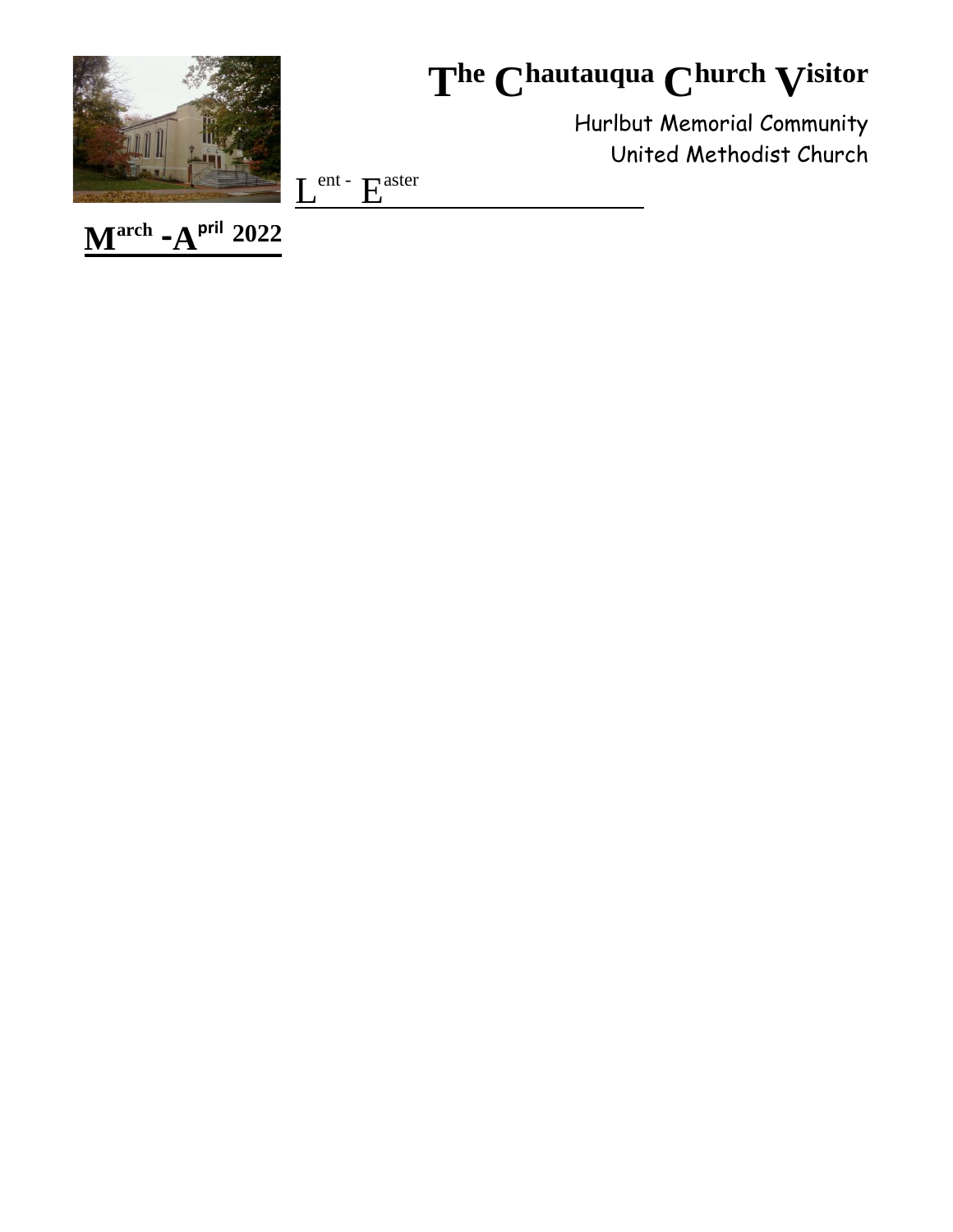

# The Chautauqua Church Visitor

Hurlbut Memorial Community United Methodist Church

 $L^{ent}$  -  $E^{aster}$ 

 $M^{\text{arch}}$ - $A^{\text{pril}}$  2022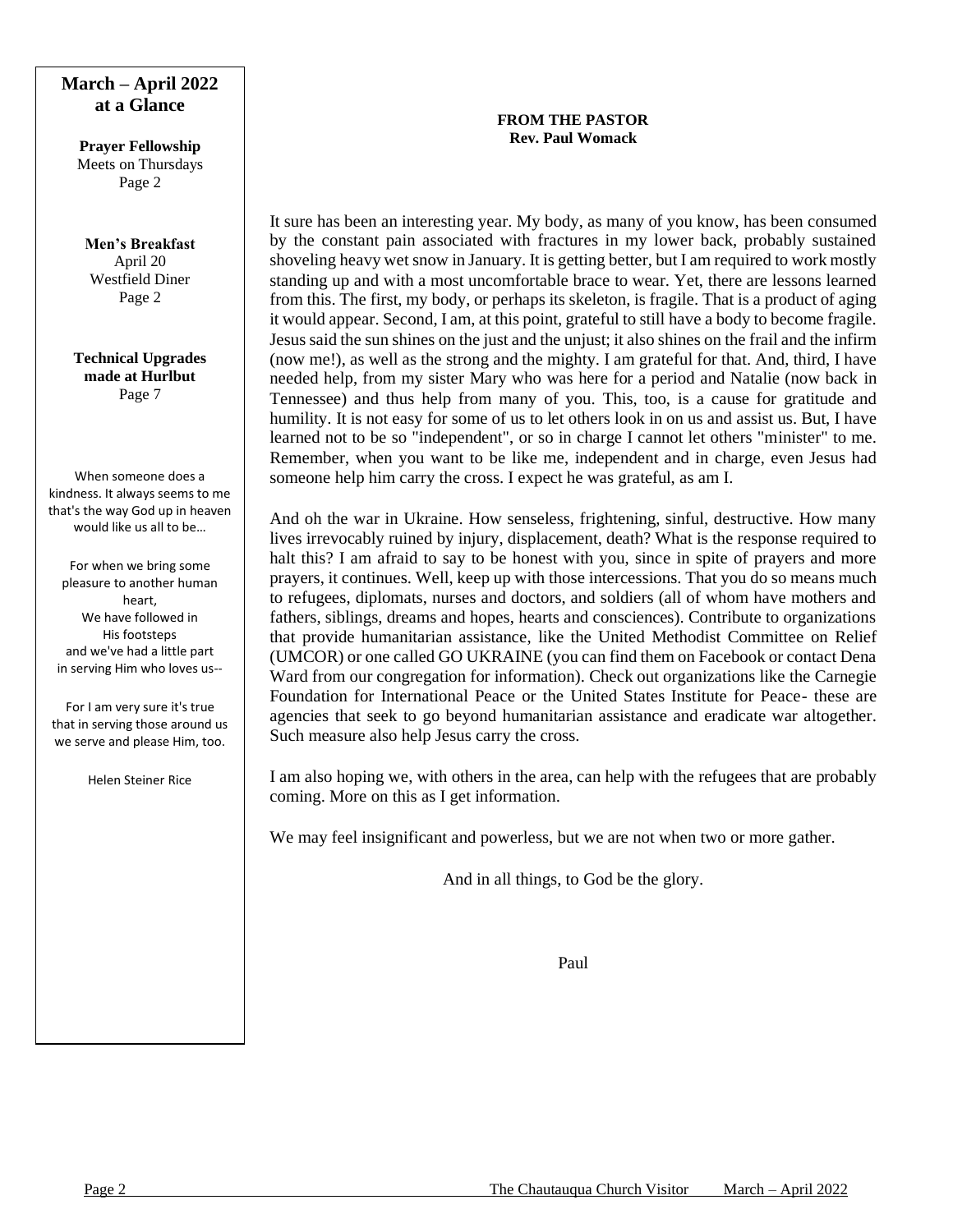# **March – April 2022 at a Glance**

**Prayer Fellowship** Meets on Thursdays Page 2

**Men's Breakfast** April 20 Westfield Diner Page 2

**Technical Upgrades made at Hurlbut** Page 7

When someone does a kindness. It always seems to me that's the way God up in heaven would like us all to be…

For when we bring some pleasure to another human heart, We have followed in His footsteps and we've had a little part in serving Him who loves us--

For I am very sure it's true that in serving those around us we serve and please Him, too.

Helen Steiner Rice

# **FROM THE PASTOR Rev. Paul Womack**

It sure has been an interesting year. My body, as many of you know, has been consumed by the constant pain associated with fractures in my lower back, probably sustained shoveling heavy wet snow in January. It is getting better, but I am required to work mostly standing up and with a most uncomfortable brace to wear. Yet, there are lessons learned from this. The first, my body, or perhaps its skeleton, is fragile. That is a product of aging it would appear. Second, I am, at this point, grateful to still have a body to become fragile. Jesus said the sun shines on the just and the unjust; it also shines on the frail and the infirm (now me!), as well as the strong and the mighty. I am grateful for that. And, third, I have needed help, from my sister Mary who was here for a period and Natalie (now back in Tennessee) and thus help from many of you. This, too, is a cause for gratitude and humility. It is not easy for some of us to let others look in on us and assist us. But, I have learned not to be so "independent", or so in charge I cannot let others "minister" to me. Remember, when you want to be like me, independent and in charge, even Jesus had someone help him carry the cross. I expect he was grateful, as am I.

And oh the war in Ukraine. How senseless, frightening, sinful, destructive. How many lives irrevocably ruined by injury, displacement, death? What is the response required to halt this? I am afraid to say to be honest with you, since in spite of prayers and more prayers, it continues. Well, keep up with those intercessions. That you do so means much to refugees, diplomats, nurses and doctors, and soldiers (all of whom have mothers and fathers, siblings, dreams and hopes, hearts and consciences). Contribute to organizations that provide humanitarian assistance, like the United Methodist Committee on Relief (UMCOR) or one called GO UKRAINE (you can find them on Facebook or contact Dena Ward from our congregation for information). Check out organizations like the Carnegie Foundation for International Peace or the United States Institute for Peace- these are agencies that seek to go beyond humanitarian assistance and eradicate war altogether. Such measure also help Jesus carry the cross.

I am also hoping we, with others in the area, can help with the refugees that are probably coming. More on this as I get information.

We may feel insignificant and powerless, but we are not when two or more gather.

And in all things, to God be the glory.

Paul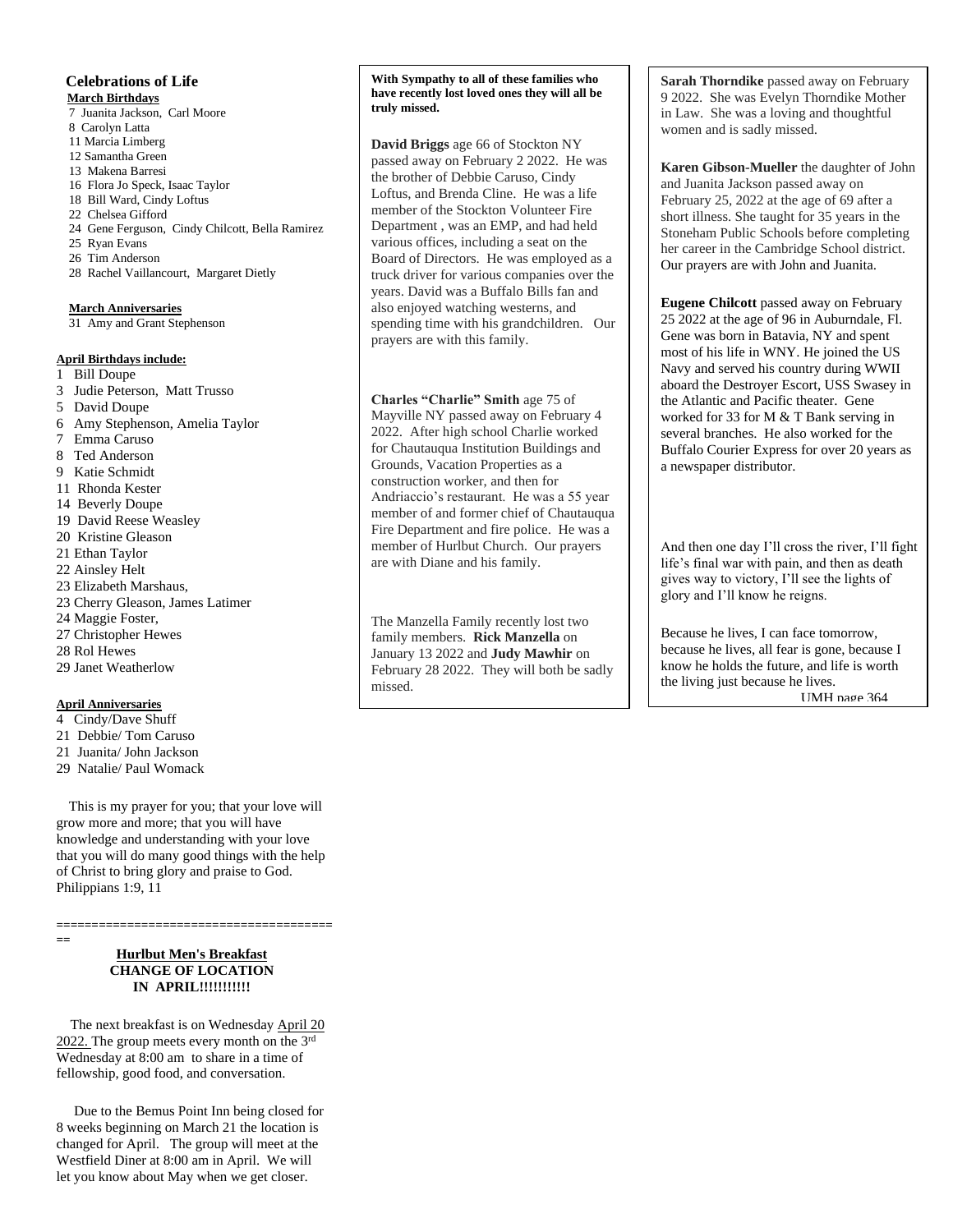# **Celebrations of Life**

 **March Birthdays** 7 Juanita Jackson, Carl Moore 8 Carolyn Latta 11 Marcia Limberg 12 Samantha Green 13 Makena Barresi 16 Flora Jo Speck, Isaac Taylor 18 Bill Ward, Cindy Loftus 22 Chelsea Gifford 24 Gene Ferguson, Cindy Chilcott, Bella Ramirez 25 Ryan Evans 26 Tim Anderson 28 Rachel Vaillancourt, Margaret Dietly

# **March Anniversaries**

31 Amy and Grant Stephenson

# **April Birthdays include:**

- 1 Bill Doupe
- 3 Judie Peterson, Matt Trusso
- 5 David Doupe
- 6 Amy Stephenson, Amelia Taylor
- 7 Emma Caruso
- 8 Ted Anderson
- 9 Katie Schmidt
- 11 Rhonda Kester
- 14 Beverly Doupe
- 19 David Reese Weasley
- 20 Kristine Gleason
- 21 Ethan Taylor
- 22 Ainsley Helt
- 23 Elizabeth Marshaus,
- 23 Cherry Gleason, James Latimer
- 24 Maggie Foster,
- 27 Christopher Hewes
- 28 Rol Hewes
- 29 Janet Weatherlow

#### **April Anniversaries**

- 4 Cindy/Dave Shuff
- 21 Debbie/ Tom Caruso
- 21 Juanita/ John Jackson
- 29 Natalie/ Paul Womack

 This is my prayer for you; that your love will grow more and more; that you will have knowledge and understanding with your love that you will do many good things with the help of Christ to bring glory and praise to God. Philippians 1:9, 11

**======================================= ==**

# **Hurlbut Men's Breakfast CHANGE OF LOCATION IN APRIL!!!!!!!!!!!**

The next breakfast is on Wednesday April 20 2022. The group meets every month on the 3rd Wednesday at 8:00 am to share in a time of fellowship, good food, and conversation.

 Due to the Bemus Point Inn being closed for 8 weeks beginning on March 21 the location is changed for April. The group will meet at the Westfield Diner at 8:00 am in April. We will let you know about May when we get closer.

**With Sympathy to all of these families who have recently lost loved ones they will all be truly missed.**

**David Briggs** age 66 of Stockton NY passed away on February 2 2022. He was the brother of Debbie Caruso, Cindy Loftus, and Brenda Cline. He was a life member of the Stockton Volunteer Fire Department , was an EMP, and had held various offices, including a seat on the Board of Directors. He was employed as a truck driver for various companies over the years. David was a Buffalo Bills fan and also enjoyed watching westerns, and spending time with his grandchildren. Our prayers are with this family.

 Andriaccio's restaurant. He was a 55 year **Charles "Charlie" Smith** age 75 of Mayville NY passed away on February 4 2022. After high school Charlie worked for Chautauqua Institution Buildings and Grounds, Vacation Properties as a construction worker, and then for member of and former chief of Chautauqua Fire Department and fire police. He was a member of Hurlbut Church. Our prayers are with Diane and his family.

The Manzella Family recently lost two family members. **Rick Manzella** on January 13 2022 and **Judy Mawhir** on February 28 2022. They will both be sadly missed.

**Sarah Thorndike** passed away on February 9 2022. She was Evelyn Thorndike Mother in Law. She was a loving and thoughtful women and is sadly missed.

**Karen Gibson-Mueller** the daughter of John and Juanita Jackson passed away on February 25, 2022 at the age of 69 after a short illness. She taught for 35 years in the Stoneham Public Schools before completing her career in the Cambridge School district. Our prayers are with John and Juanita.

**Eugene Chilcott** passed away on February 25 2022 at the age of 96 in Auburndale, Fl. Gene was born in Batavia, NY and spent most of his life in WNY. He joined the US Navy and served his country during WWII aboard the Destroyer Escort, USS Swasey in the Atlantic and Pacific theater. Gene worked for 33 for M & T Bank serving in several branches. He also worked for the Buffalo Courier Express for over 20 years as a newspaper distributor.

And then one day I'll cross the river, I'll fight life's final war with pain, and then as death gives way to victory, I'll see the lights of glory and I'll know he reigns.

Because he lives, I can face tomorrow, because he lives, all fear is gone, because I know he holds the future, and life is worth the living just because he lives. UMH page 364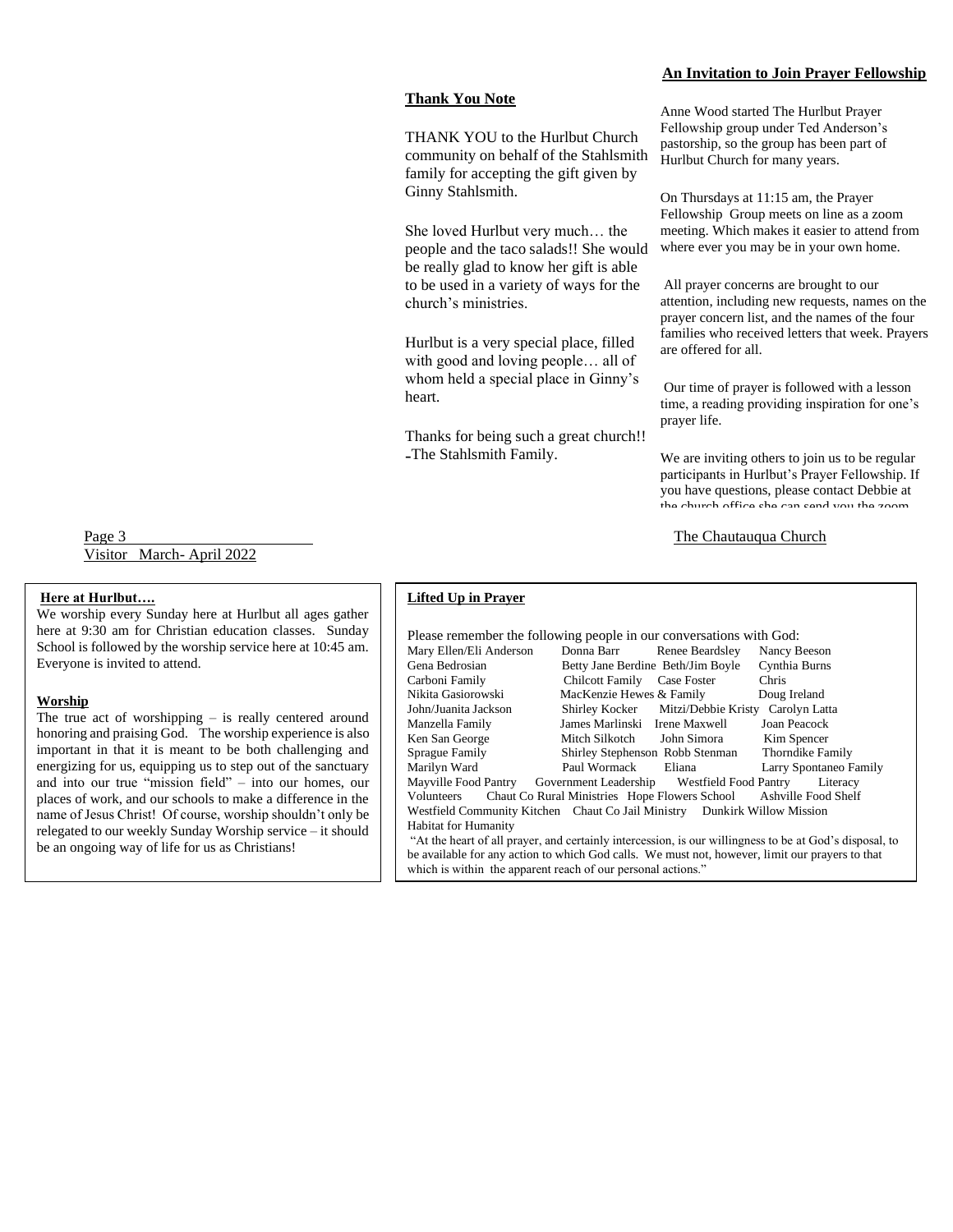# **Thank You Note**

THANK YOU to the Hurlbut Church community on behalf of the Stahlsmith family for accepting the gift given by Ginny Stahlsmith.

She loved Hurlbut very much… the people and the taco salads!! She would be really glad to know her gift is able to be used in a variety of ways for the church's ministries.

Hurlbut is a very special place, filled with good and loving people… all of whom held a special place in Ginny's heart.

Thanks for being such a great church!! -The Stahlsmith Family.

# Anne Wood started The Hurlbut Prayer Fellowship group under Ted Anderson's pastorship, so the group has been part of

**An Invitation to Join Prayer Fellowship**

Hurlbut Church for many years. On Thursdays at 11:15 am, the Prayer Fellowship Group meets on line as a zoom

meeting. Which makes it easier to attend from where ever you may be in your own home. All prayer concerns are brought to our

attention, including new requests, names on the prayer concern list, and the names of the four families who received letters that week. Prayers are offered for all.

Our time of prayer is followed with a lesson time, a reading providing inspiration for one's prayer life.

We are inviting others to join us to be regular participants in Hurlbut's Prayer Fellowship. If you have questions, please contact Debbie at the church office she can send you the zoom

Page 3 The Chautauqua Church Visitor March- April 2022

# **Here at Hurlbut….**

We worship every Sunday here at Hurlbut all ages gather here at 9:30 am for Christian education classes. Sunday School is followed by the worship service here at 10:45 am. Everyone is invited to attend.

#### **Worship**

The true act of worshipping – is really centered around honoring and praising God. The worship experience is also important in that it is meant to be both challenging and energizing for us, equipping us to step out of the sanctuary and into our true "mission field" – into our homes, our places of work, and our schools to make a difference in the name of Jesus Christ! Of course, worship shouldn't only be relegated to our weekly Sunday Worship service – it should be an ongoing way of life for us as Christians!

# **Lifted Up in Prayer**

| Please remember the following people in our conversations with God:                                     |                                   |                                                  |                        |  |  |
|---------------------------------------------------------------------------------------------------------|-----------------------------------|--------------------------------------------------|------------------------|--|--|
| Mary Ellen/Eli Anderson                                                                                 | Donna Barr                        | Renee Beardsley                                  | Nancy Beeson           |  |  |
| Gena Bedrosian                                                                                          | Betty Jane Berdine Beth/Jim Boyle |                                                  | Cynthia Burns          |  |  |
| Carboni Family                                                                                          | <b>Chilcott Family</b>            | Case Foster                                      | <b>Chris</b>           |  |  |
| Nikita Gasiorowski                                                                                      | MacKenzie Hewes & Family          |                                                  | Doug Ireland           |  |  |
| John/Juanita Jackson                                                                                    |                                   | Shirley Kocker Mitzi/Debbie Kristy Carolyn Latta |                        |  |  |
| Manzella Family                                                                                         | James Marlinski Irene Maxwell     |                                                  | Joan Peacock           |  |  |
| Ken San George                                                                                          | Mitch Silkotch                    | John Simora                                      | Kim Spencer            |  |  |
| Sprague Family                                                                                          | Shirley Stephenson Robb Stenman   |                                                  | Thorndike Family       |  |  |
| Marilyn Ward                                                                                            | Paul Wormack                      | Eliana                                           | Larry Spontaneo Family |  |  |
| Mayville Food Pantry Government Leadership Westfield Food Pantry                                        |                                   |                                                  | Literacy               |  |  |
| Chaut Co Rural Ministries Hope Flowers School<br>Ashville Food Shelf<br>Volunteers                      |                                   |                                                  |                        |  |  |
| Westfield Community Kitchen Chaut Co Jail Ministry Dunkirk Willow Mission                               |                                   |                                                  |                        |  |  |
| <b>Habitat for Humanity</b>                                                                             |                                   |                                                  |                        |  |  |
| "At the heart of all prayer, and certainly intercession, is our willingness to be at God's disposal, to |                                   |                                                  |                        |  |  |
| be available for any action to which God calls. We must not, however, limit our prayers to that         |                                   |                                                  |                        |  |  |
| which is within the apparent reach of our personal actions."                                            |                                   |                                                  |                        |  |  |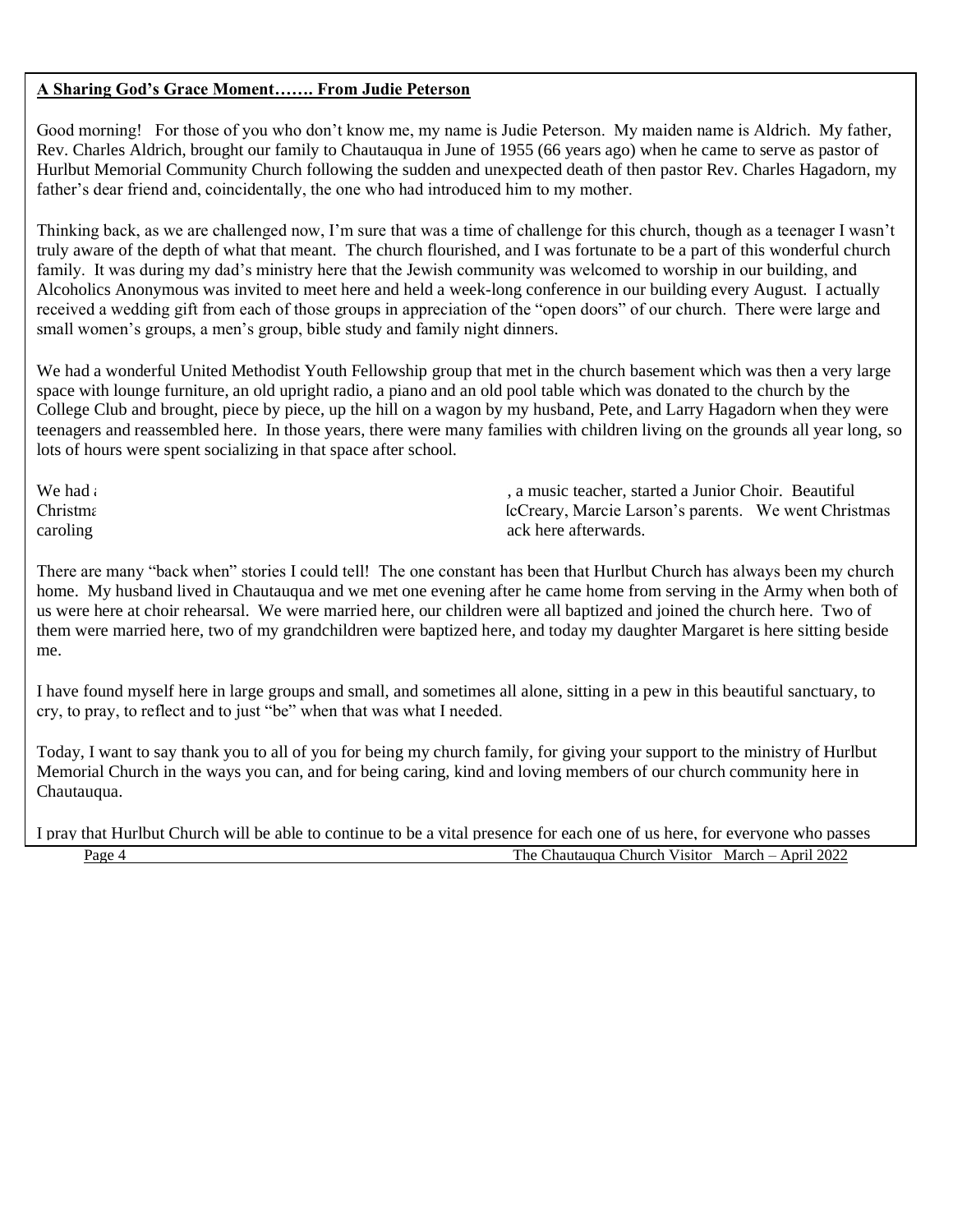# **A Sharing God's Grace Moment……. From Judie Peterson**

Good morning! For those of you who don't know me, my name is Judie Peterson. My maiden name is Aldrich. My father, Rev. Charles Aldrich, brought our family to Chautauqua in June of 1955 (66 years ago) when he came to serve as pastor of Hurlbut Memorial Community Church following the sudden and unexpected death of then pastor Rev. Charles Hagadorn, my father's dear friend and, coincidentally, the one who had introduced him to my mother.

Thinking back, as we are challenged now, I'm sure that was a time of challenge for this church, though as a teenager I wasn't truly aware of the depth of what that meant. The church flourished, and I was fortunate to be a part of this wonderful church family. It was during my dad's ministry here that the Jewish community was welcomed to worship in our building, and Alcoholics Anonymous was invited to meet here and held a week-long conference in our building every August. I actually received a wedding gift from each of those groups in appreciation of the "open doors" of our church. There were large and small women's groups, a men's group, bible study and family night dinners.

We had a wonderful United Methodist Youth Fellowship group that met in the church basement which was then a very large space with lounge furniture, an old upright radio, a piano and an old pool table which was donated to the church by the College Club and brought, piece by piece, up the hill on a wagon by my husband, Pete, and Larry Hagadorn when they were teenagers and reassembled here. In those years, there were many families with children living on the grounds all year long, so lots of hours were spent socializing in that space after school.

We had a second a function of the my motion of the my motion director, a music teacher, started a Junior Choir. Beautiful Christmas pageants were written and produced by Bill and Marcie Marcie Larson's parents. We went Christmas caroling and hot chocolate and hot chocolate and hot chocolate and hot chocolate and cookies back here afterwards.

There are many "back when" stories I could tell! The one constant has been that Hurlbut Church has always been my church home. My husband lived in Chautauqua and we met one evening after he came home from serving in the Army when both of us were here at choir rehearsal. We were married here, our children were all baptized and joined the church here. Two of them were married here, two of my grandchildren were baptized here, and today my daughter Margaret is here sitting beside me.

I have found myself here in large groups and small, and sometimes all alone, sitting in a pew in this beautiful sanctuary, to cry, to pray, to reflect and to just "be" when that was what I needed.

Today, I want to say thank you to all of you for being my church family, for giving your support to the ministry of Hurlbut Memorial Church in the ways you can, and for being caring, kind and loving members of our church community here in Chautauqua.

Page 4 The Chautauqua Church Visitor March – April 2022 I pray that Hurlbut Church will be able to continue to be a vital presence for each one of us here, for everyone who passes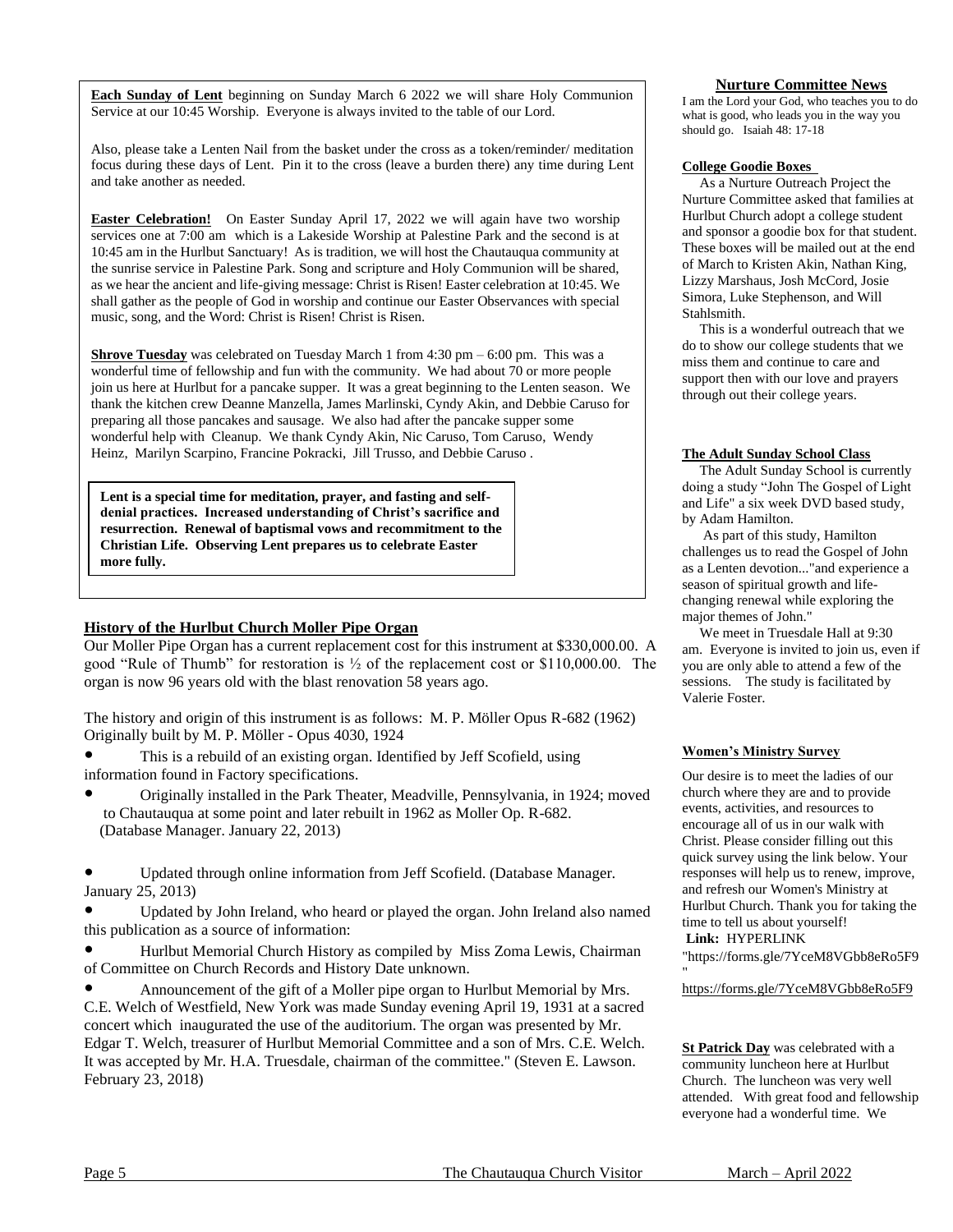**Each Sunday of Lent** beginning on Sunday March 6 2022 we will share Holy Communion Service at our 10:45 Worship. Everyone is always invited to the table of our Lord.

Also, please take a Lenten Nail from the basket under the cross as a token/reminder/ meditation focus during these days of Lent. Pin it to the cross (leave a burden there) any time during Lent and take another as needed.

**Easter Celebration!** On Easter Sunday April 17, 2022 we will again have two worship services one at 7:00 am which is a Lakeside Worship at Palestine Park and the second is at 10:45 am in the Hurlbut Sanctuary! As is tradition, we will host the Chautauqua community at the sunrise service in Palestine Park. Song and scripture and Holy Communion will be shared, as we hear the ancient and life-giving message: Christ is Risen! Easter celebration at 10:45. We shall gather as the people of God in worship and continue our Easter Observances with special music, song, and the Word: Christ is Risen! Christ is Risen.

**Shrove Tuesday** was celebrated on Tuesday March 1 from 4:30 pm – 6:00 pm. This was a wonderful time of fellowship and fun with the community. We had about 70 or more people join us here at Hurlbut for a pancake supper. It was a great beginning to the Lenten season. We thank the kitchen crew Deanne Manzella, James Marlinski, Cyndy Akin, and Debbie Caruso for preparing all those pancakes and sausage. We also had after the pancake supper some wonderful help with Cleanup. We thank Cyndy Akin, Nic Caruso, Tom Caruso, Wendy Heinz, Marilyn Scarpino, Francine Pokracki, Jill Trusso, and Debbie Caruso .

**Lent is a special time for meditation, prayer, and fasting and selfdenial practices. Increased understanding of Christ's sacrifice and resurrection. Renewal of baptismal vows and recommitment to the Christian Life. Observing Lent prepares us to celebrate Easter more fully.**

# **History of the Hurlbut Church Moller Pipe Organ**

Our Moller Pipe Organ has a current replacement cost for this instrument at \$330,000.00. A good "Rule of Thumb" for restoration is ½ of the replacement cost or \$110,000.00. The organ is now 96 years old with the blast renovation 58 years ago.

The history and origin of this instrument is as follows: M. P. Möller Opus R-682 (1962) Originally built by M. P. Möller - Opus 4030, 1924

- This is a rebuild of an existing organ. Identified by Jeff Scofield, using information found in Factory specifications.
- Originally installed in the Park Theater, Meadville, Pennsylvania, in 1924; moved to Chautauqua at some point and later rebuilt in 1962 as Moller Op. R-682. (Database Manager. January 22, 2013)

Updated through online information from Jeff Scofield. (Database Manager. January 25, 2013)

Updated by John Ireland, who heard or played the organ. John Ireland also named this publication as a source of information:

Hurlbut Memorial Church History as compiled by Miss Zoma Lewis, Chairman of Committee on Church Records and History Date unknown.

Announcement of the gift of a Moller pipe organ to Hurlbut Memorial by Mrs. C.E. Welch of Westfield, New York was made Sunday evening April 19, 1931 at a sacred concert which inaugurated the use of the auditorium. The organ was presented by Mr. Edgar T. Welch, treasurer of Hurlbut Memorial Committee and a son of Mrs. C.E. Welch. It was accepted by Mr. H.A. Truesdale, chairman of the committee." (Steven E. Lawson. February 23, 2018)

# **Nurture Committee News**

I am the Lord your God, who teaches you to do what is good, who leads you in the way you should go. Isaiah 48: 17-18

#### **College Goodie Boxes**

 As a Nurture Outreach Project the Nurture Committee asked that families at Hurlbut Church adopt a college student and sponsor a goodie box for that student. These boxes will be mailed out at the end of March to Kristen Akin, Nathan King, Lizzy Marshaus, Josh McCord, Josie Simora, Luke Stephenson, and Will Stahlsmith.

 This is a wonderful outreach that we do to show our college students that we miss them and continue to care and support then with our love and prayers through out their college years.

#### **The Adult Sunday School Class**

 The Adult Sunday School is currently doing a study "John The Gospel of Light and Life" a six week DVD based study, by Adam Hamilton.

 As part of this study, Hamilton challenges us to read the Gospel of John as a Lenten devotion..."and experience a season of spiritual growth and lifechanging renewal while exploring the major themes of John."

 We meet in Truesdale Hall at 9:30 am. Everyone is invited to join us, even if you are only able to attend a few of the sessions. The study is facilitated by Valerie Foster.

#### **Women's Ministry Survey**

Our desire is to meet the ladies of our church where they are and to provide events, activities, and resources to encourage all of us in our walk with Christ. Please consider filling out this quick survey using the link below. Your responses will help us to renew, improve, and refresh our Women's Ministry at Hurlbut Church. Thank you for taking the time to tell us about yourself! **Link:** HYPERLINK

"https://forms.gle/7YceM8VGbb8eRo5F9

https://forms.gle/7YceM8VGbb8eRo5F9

"

**St Patrick Day** was celebrated with a community luncheon here at Hurlbut Church. The luncheon was very well attended. With great food and fellowship everyone had a wonderful time. We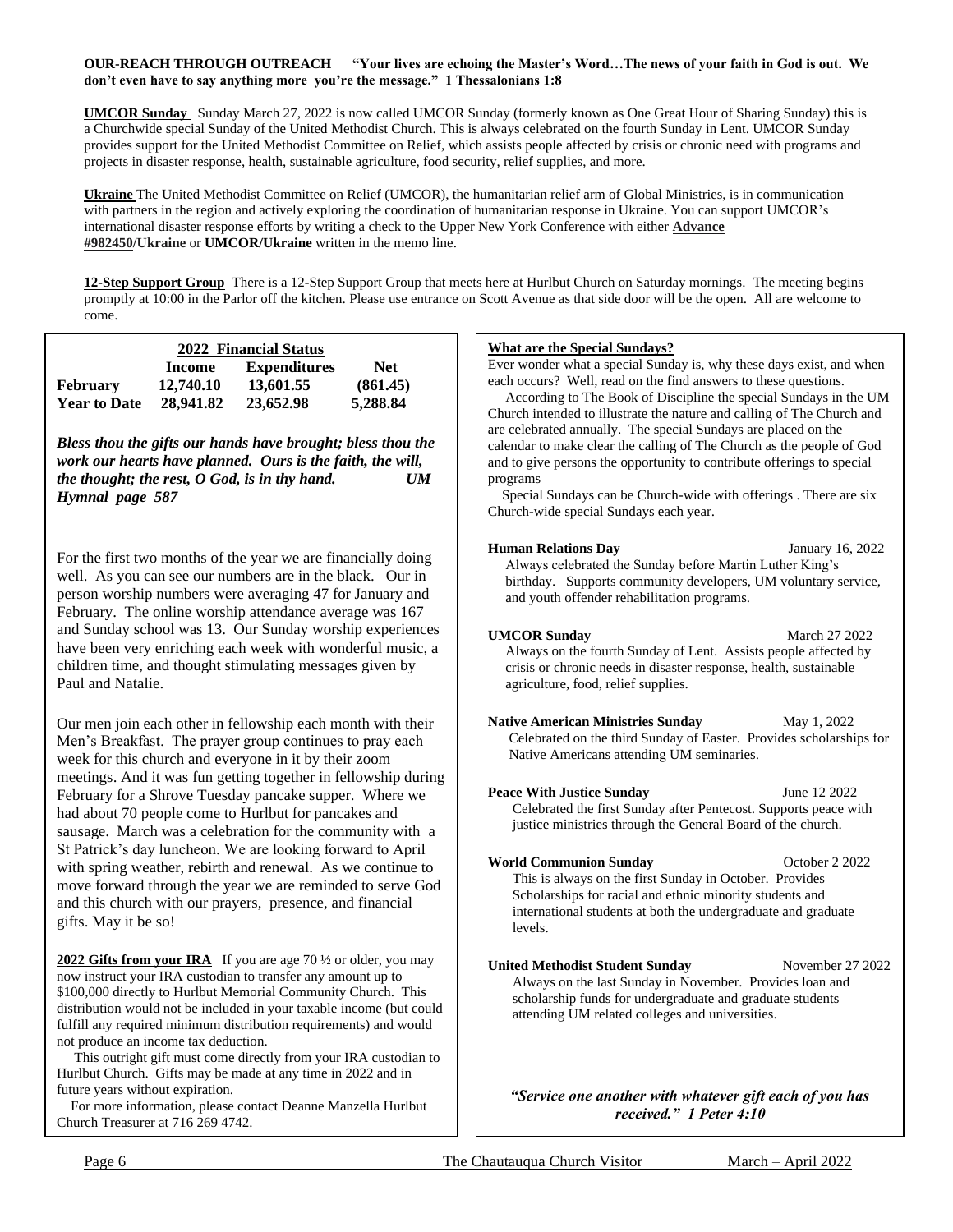# **OUR-REACH THROUGH OUTREACH "Your lives are echoing the Master's Word…The news of your faith in God is out. We don't even have to say anything more you're the message." 1 Thessalonians 1:8**

**UMCOR Sunday** Sunday March 27, 2022 is now called UMCOR Sunday (formerly known as One Great Hour of Sharing Sunday) this is a Churchwide special Sunday of the United Methodist Church. This is always celebrated on the fourth Sunday in Lent. UMCOR Sunday provides support for the United Methodist Committee on Relief, which assists people affected by crisis or chronic need with programs and projects in disaster response, health, sustainable agriculture, food security, relief supplies, and more.

**Ukraine** The United Methodist Committee on Relief (UMCOR), the humanitarian relief arm of Global Ministries, is in communication with partners in the region and actively exploring the coordination of humanitarian response in Ukraine. You can support UMCOR's international disaster response efforts by writing a check to the Upper New York Conference with either **[Advance](https://r20.rs6.net/tn.jsp?f=001D36-DhHqBJY0Ep5lAxxweA14-8IGRt5iJlRSz3_xiFHgdEdt9IrzVQOuTL77uiPccF-pTGvu2qHV4TOQjA22b3IOPro2svViamWGBGaHiUAQS_clqwleYJwGGmNwMqZPkWfKzbbKuLxbqOjfzseTVZ0V9S7ptGLjEzXBt4dZ1OTVfbX1xmlBzg==&c=r9CtbGdOCyXI2jD9RV6dDA2_P6xc8c6z5tPLhsk1qgc1mTxDbaaVIw==&ch=WDyGoISenSVWWSIZA2XBAp3VVefMwJLLbo2u8PeTN26AgLoPruPxhw==)  [#982450/](https://r20.rs6.net/tn.jsp?f=001D36-DhHqBJY0Ep5lAxxweA14-8IGRt5iJlRSz3_xiFHgdEdt9IrzVQOuTL77uiPccF-pTGvu2qHV4TOQjA22b3IOPro2svViamWGBGaHiUAQS_clqwleYJwGGmNwMqZPkWfKzbbKuLxbqOjfzseTVZ0V9S7ptGLjEzXBt4dZ1OTVfbX1xmlBzg==&c=r9CtbGdOCyXI2jD9RV6dDA2_P6xc8c6z5tPLhsk1qgc1mTxDbaaVIw==&ch=WDyGoISenSVWWSIZA2XBAp3VVefMwJLLbo2u8PeTN26AgLoPruPxhw==)Ukraine** or **UMCOR/Ukraine** written in the memo line.

**12-Step Support Group** There is a 12-Step Support Group that meets here at Hurlbut Church on Saturday mornings. The meeting begins promptly at 10:00 in the Parlor off the kitchen. Please use entrance on Scott Avenue as that side door will be the open. All are welcome to come.

| 2022 Financial Status |           |                     |          |  |
|-----------------------|-----------|---------------------|----------|--|
|                       | Income    | <b>Expenditures</b> | Net.     |  |
| <b>February</b>       | 12,740.10 | 13,601.55           | (861.45) |  |
| <b>Year to Date</b>   | 28,941.82 | 23,652.98           | 5,288.84 |  |

*Bless thou the gifts our hands have brought; bless thou the work our hearts have planned. Ours is the faith, the will, the thought; the rest, O God, is in thy hand. UM Hymnal page 587*

For the first two months of the year we are financially doing well. As you can see our numbers are in the black. Our in person worship numbers were averaging 47 for January and February. The online worship attendance average was 167 and Sunday school was 13. Our Sunday worship experiences have been very enriching each week with wonderful music, a children time, and thought stimulating messages given by Paul and Natalie.

Our men join each other in fellowship each month with their Men's Breakfast. The prayer group continues to pray each week for this church and everyone in it by their zoom meetings. And it was fun getting together in fellowship during February for a Shrove Tuesday pancake supper. Where we had about 70 people come to Hurlbut for pancakes and sausage. March was a celebration for the community with a St Patrick's day luncheon. We are looking forward to April with spring weather, rebirth and renewal. As we continue to move forward through the year we are reminded to serve God and this church with our prayers, presence, and financial gifts. May it be so!

**2022 Gifts from your IRA** If you are age 70 ½ or older, you may now instruct your IRA custodian to transfer any amount up to \$100,000 directly to Hurlbut Memorial Community Church. This distribution would not be included in your taxable income (but could fulfill any required minimum distribution requirements) and would not produce an income tax deduction.

 This outright gift must come directly from your IRA custodian to Hurlbut Church. Gifts may be made at any time in 2022 and in future years without expiration.

 For more information, please contact Deanne Manzella Hurlbut Church Treasurer at 716 269 4742.

# **What are the Special Sundays?**

Ever wonder what a special Sunday is, why these days exist, and when each occurs? Well, read on the find answers to these questions.

 According to The Book of Discipline the special Sundays in the UM Church intended to illustrate the nature and calling of The Church and are celebrated annually. The special Sundays are placed on the calendar to make clear the calling of The Church as the people of God and to give persons the opportunity to contribute offerings to special programs

 Special Sundays can be Church-wide with offerings . There are six Church-wide special Sundays each year.

| Human Relations Dav                                            | January 16, 2022 |
|----------------------------------------------------------------|------------------|
| Always celebrated the Sunday before Martin Luther King's       |                  |
| birthday. Supports community developers, UM voluntary service, |                  |
| and youth offender rehabilitation programs.                    |                  |

**UMCOR Sunday** March 27 2022 Always on the fourth Sunday of Lent. Assists people affected by crisis or chronic needs in disaster response, health, sustainable agriculture, food, relief supplies.

**Native American Ministries Sunday** May 1, 2022 Celebrated on the third Sunday of Easter. Provides scholarships for Native Americans attending UM seminaries.

**Peace With Justice Sunday** June 12 2022 Celebrated the first Sunday after Pentecost. Supports peace with justice ministries through the General Board of the church.

**World Communion Sunday** October 2 2022 This is always on the first Sunday in October. Provides Scholarships for racial and ethnic minority students and international students at both the undergraduate and graduate levels.

**United Methodist Student Sunday** November 27 2022 Always on the last Sunday in November. Provides loan and scholarship funds for undergraduate and graduate students attending UM related colleges and universities.

*"Service one another with whatever gift each of you has received." 1 Peter 4:10*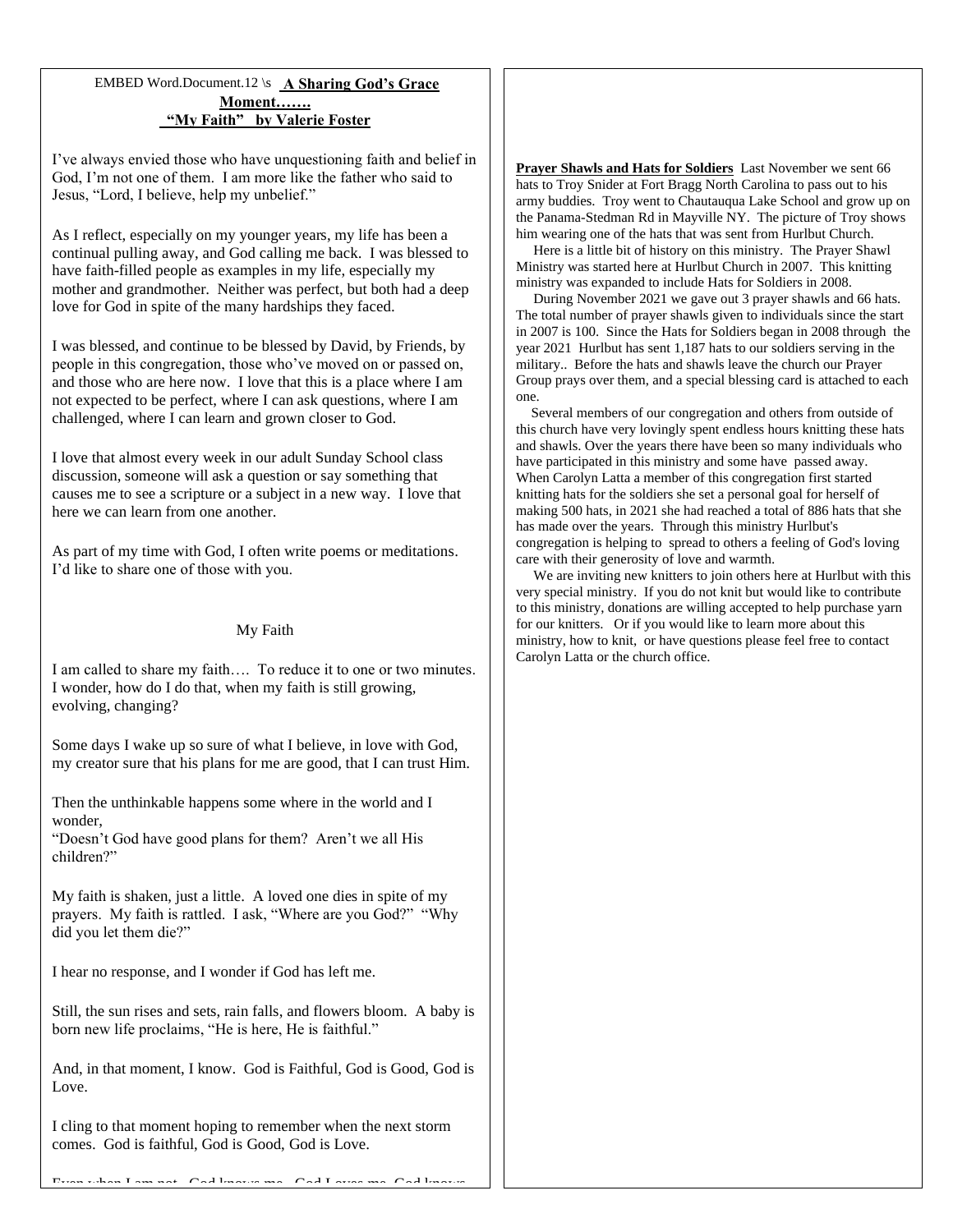# EMBED Word.Document.12 \s **A Sharing God's Grace Moment……. "My Faith" by Valerie Foster**

I've always envied those who have unquestioning faith and belief in God, I'm not one of them. I am more like the father who said to Jesus, "Lord, I believe, help my unbelief."

As I reflect, especially on my younger years, my life has been a continual pulling away, and God calling me back. I was blessed to have faith-filled people as examples in my life, especially my mother and grandmother. Neither was perfect, but both had a deep love for God in spite of the many hardships they faced.

I was blessed, and continue to be blessed by David, by Friends, by people in this congregation, those who've moved on or passed on, and those who are here now. I love that this is a place where I am not expected to be perfect, where I can ask questions, where I am challenged, where I can learn and grown closer to God.

I love that almost every week in our adult Sunday School class discussion, someone will ask a question or say something that causes me to see a scripture or a subject in a new way. I love that here we can learn from one another.

As part of my time with God, I often write poems or meditations. I'd like to share one of those with you.

# My Faith

I am called to share my faith…. To reduce it to one or two minutes. I wonder, how do I do that, when my faith is still growing, evolving, changing?

Some days I wake up so sure of what I believe, in love with God, my creator sure that his plans for me are good, that I can trust Him.

Then the unthinkable happens some where in the world and I wonder,

"Doesn't God have good plans for them? Aren't we all His children?"

My faith is shaken, just a little. A loved one dies in spite of my prayers. My faith is rattled. I ask, "Where are you God?" "Why did you let them die?"

I hear no response, and I wonder if God has left me.

Still, the sun rises and sets, rain falls, and flowers bloom. A baby is born new life proclaims, "He is here, He is faithful."

And, in that moment, I know. God is Faithful, God is Good, God is Love.

I cling to that moment hoping to remember when the next storm comes. God is faithful, God is Good, God is Love.

**Prayer Shawls and Hats for Soldiers** Last November we sent 66 hats to Troy Snider at Fort Bragg North Carolina to pass out to his army buddies. Troy went to Chautauqua Lake School and grow up on the Panama-Stedman Rd in Mayville NY. The picture of Troy shows him wearing one of the hats that was sent from Hurlbut Church.

Here is a little bit of history on this ministry.The Prayer Shawl Ministry was started here at Hurlbut Church in 2007. This knitting ministry was expanded to include Hats for Soldiers in 2008.

 During November 2021 we gave out 3 prayer shawls and 66 hats. The total number of prayer shawls given to individuals since the start in 2007 is 100. Since the Hats for Soldiers began in 2008 through the year 2021 Hurlbut has sent 1,187 hats to our soldiers serving in the military.. Before the hats and shawls leave the church our Prayer Group prays over them, and a special blessing card is attached to each one.

 Several members of our congregation and others from outside of this church have very lovingly spent endless hours knitting these hats and shawls. Over the years there have been so many individuals who have participated in this ministry and some have passed away. When Carolyn Latta a member of this congregation first started knitting hats for the soldiers she set a personal goal for herself of making 500 hats, in 2021 she had reached a total of 886 hats that she has made over the years. Through this ministry Hurlbut's congregation is helping to spread to others a feeling of God's loving care with their generosity of love and warmth.

 We are inviting new knitters to join others here at Hurlbut with this very special ministry. If you do not knit but would like to contribute to this ministry, donations are willing accepted to help purchase yarn for our knitters. Or if you would like to learn more about this ministry, how to knit, or have questions please feel free to contact Carolyn Latta or the church office.

 $\Gamma$ even when I am not.  $\Gamma$  of  $l$  loves me.  $\Gamma$  of  $l$  access me.  $\Gamma$  of  $l$  loves me.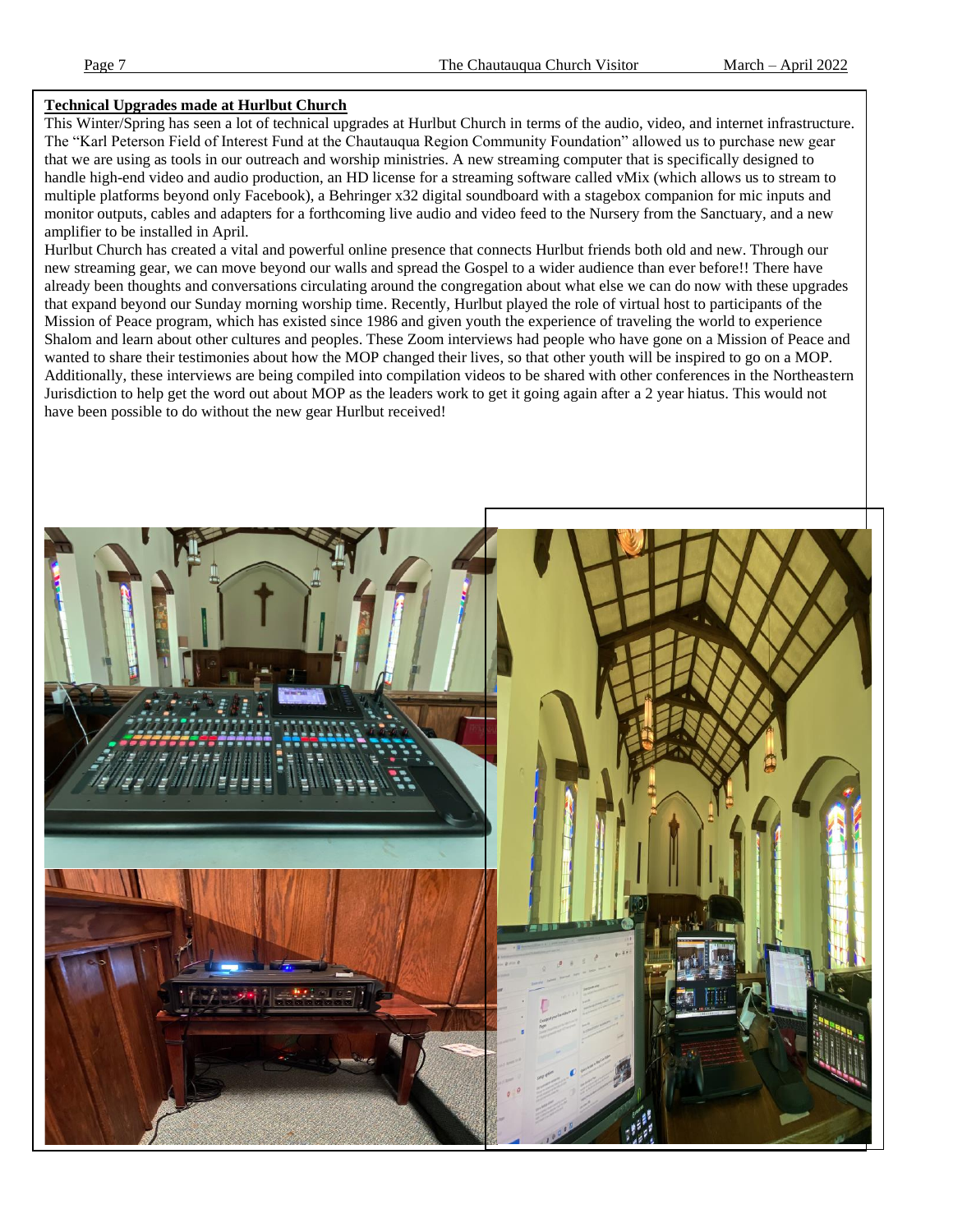# **Technical Upgrades made at Hurlbut Church**

This Winter/Spring has seen a lot of technical upgrades at Hurlbut Church in terms of the audio, video, and internet infrastructure. The "Karl Peterson Field of Interest Fund at the Chautauqua Region Community Foundation" allowed us to purchase new gear that we are using as tools in our outreach and worship ministries. A new streaming computer that is specifically designed to handle high-end video and audio production, an HD license for a streaming software called vMix (which allows us to stream to multiple platforms beyond only Facebook), a Behringer x32 digital soundboard with a stagebox companion for mic inputs and monitor outputs, cables and adapters for a forthcoming live audio and video feed to the Nursery from the Sanctuary, and a new amplifier to be installed in April.

Hurlbut Church has created a vital and powerful online presence that connects Hurlbut friends both old and new. Through our new streaming gear, we can move beyond our walls and spread the Gospel to a wider audience than ever before!! There have already been thoughts and conversations circulating around the congregation about what else we can do now with these upgrades that expand beyond our Sunday morning worship time. Recently, Hurlbut played the role of virtual host to participants of the Mission of Peace program, which has existed since 1986 and given youth the experience of traveling the world to experience Shalom and learn about other cultures and peoples. These Zoom interviews had people who have gone on a Mission of Peace and wanted to share their testimonies about how the MOP changed their lives, so that other youth will be inspired to go on a MOP. Additionally, these interviews are being compiled into compilation videos to be shared with other conferences in the Northeastern Jurisdiction to help get the word out about MOP as the leaders work to get it going again after a 2 year hiatus. This would not have been possible to do without the new gear Hurlbut received!